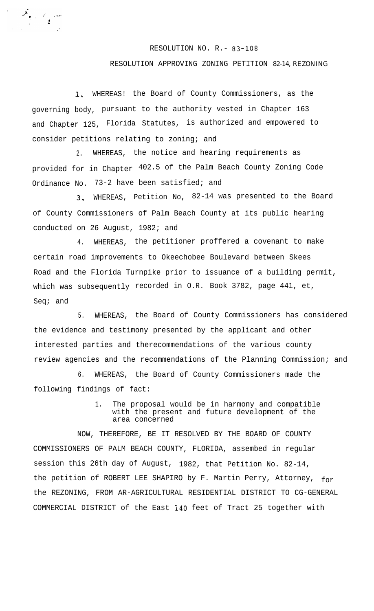## RESOLUTION NO. R.- 83-108

## RESOLUTION APPROVING ZONING PETITION 82-14, REZONING

1, WHEREAS! the Board of County Commissioners, as the governing body, pursuant to the authority vested in Chapter 163 and Chapter 125, Florida Statutes, is authorized and empowered to consider petitions relating to zoning; and

2. WHEREAS, the notice and hearing requirements as provided for in Chapter 402.5 of the Palm Beach County Zoning Code Ordinance No. 73-2 have been satisfied; and

3, WHEREAS, Petition No, 82-14 was presented to the Board of County Commissioners of Palm Beach County at its public hearing conducted on 26 August, 1982; and

4. WHEREAS, the petitioner proffered a covenant to make certain road improvements to Okeechobee Boulevard between Skees Road and the Florida Turnpike prior to issuance of a building permit, which was subsequently recorded in O.R. Book 3782, page 441, et, Seq; and

5. WHEREAS, the Board of County Commissioners has considered the evidence and testimony presented by the applicant and other interested parties and therecommendations of the various county review agencies and the recommendations of the Planning Commission; and

6. WHEREAS, the Board of County Commissioners made the following findings of fact:

> 1. The proposal would be in harmony and compatible with the present and future development of the area concerned

NOW, THEREFORE, BE IT RESOLVED BY THE BOARD OF COUNTY COMMISSIONERS OF PALM BEACH COUNTY, FLORIDA, assembed in regular session this 26th day of August, 1982, that Petition No. 82-14, the petition of ROBERT LEE SHAPIRO by F. Martin Perry, Attorney, for the REZONING, FROM AR-AGRICULTURAL RESIDENTIAL DISTRICT TO CG-GENERAL COMMERCIAL DISTRICT of the East i40 feet of Tract 25 together with